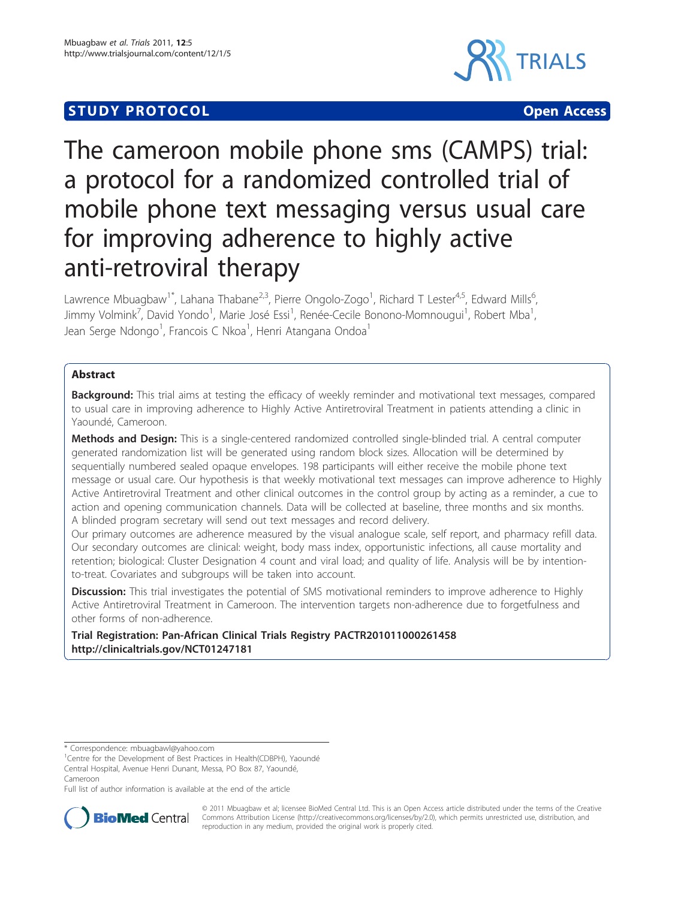# **STUDY PROTOCOL CONSUMING ACCESS**



# The cameroon mobile phone sms (CAMPS) trial: a protocol for a randomized controlled trial of mobile phone text messaging versus usual care for improving adherence to highly active anti-retroviral therapy

Lawrence Mbuagbaw<sup>1\*</sup>, Lahana Thabane<sup>2,3</sup>, Pierre Ongolo-Zogo<sup>1</sup>, Richard T Lester<sup>4,5</sup>, Edward Mills<sup>6</sup> י<br>, Jimmy Volmink<sup>7</sup>, David Yondo<sup>1</sup>, Marie José Essi<sup>1</sup>, Renée-Cecile Bonono-Momnougui<sup>1</sup>, Robert Mba<sup>1</sup> , Jean Serge Ndongo<sup>1</sup>, Francois C Nkoa<sup>1</sup>, Henri Atangana Ondoa<sup>1</sup>

# Abstract

Background: This trial aims at testing the efficacy of weekly reminder and motivational text messages, compared to usual care in improving adherence to Highly Active Antiretroviral Treatment in patients attending a clinic in Yaoundé, Cameroon.

Methods and Design: This is a single-centered randomized controlled single-blinded trial. A central computer generated randomization list will be generated using random block sizes. Allocation will be determined by sequentially numbered sealed opaque envelopes. 198 participants will either receive the mobile phone text message or usual care. Our hypothesis is that weekly motivational text messages can improve adherence to Highly Active Antiretroviral Treatment and other clinical outcomes in the control group by acting as a reminder, a cue to action and opening communication channels. Data will be collected at baseline, three months and six months. A blinded program secretary will send out text messages and record delivery.

Our primary outcomes are adherence measured by the visual analogue scale, self report, and pharmacy refill data. Our secondary outcomes are clinical: weight, body mass index, opportunistic infections, all cause mortality and retention; biological: Cluster Designation 4 count and viral load; and quality of life. Analysis will be by intentionto-treat. Covariates and subgroups will be taken into account.

Discussion: This trial investigates the potential of SMS motivational reminders to improve adherence to Highly Active Antiretroviral Treatment in Cameroon. The intervention targets non-adherence due to forgetfulness and other forms of non-adherence.

Trial Registration: Pan-African Clinical Trials Registry PACTR201011000261458 [http://clinicaltrials.gov/N](http://clinicaltrials.gov/)CT01247181

Full list of author information is available at the end of the article



© 2011 Mbuagbaw et al; licensee BioMed Central Ltd. This is an Open Access article distributed under the terms of the Creative Commons Attribution License [\(http://creativecommons.org/licenses/by/2.0](http://creativecommons.org/licenses/by/2.0)), which permits unrestricted use, distribution, and reproduction in any medium, provided the original work is properly cited.

<sup>\*</sup> Correspondence: [mbuagbawl@yahoo.com](mailto:mbuagbawl@yahoo.com)

<sup>&</sup>lt;sup>1</sup>Centre for the Development of Best Practices in Health(CDBPH), Yaoundé Central Hospital, Avenue Henri Dunant, Messa, PO Box 87, Yaoundé, Cameroon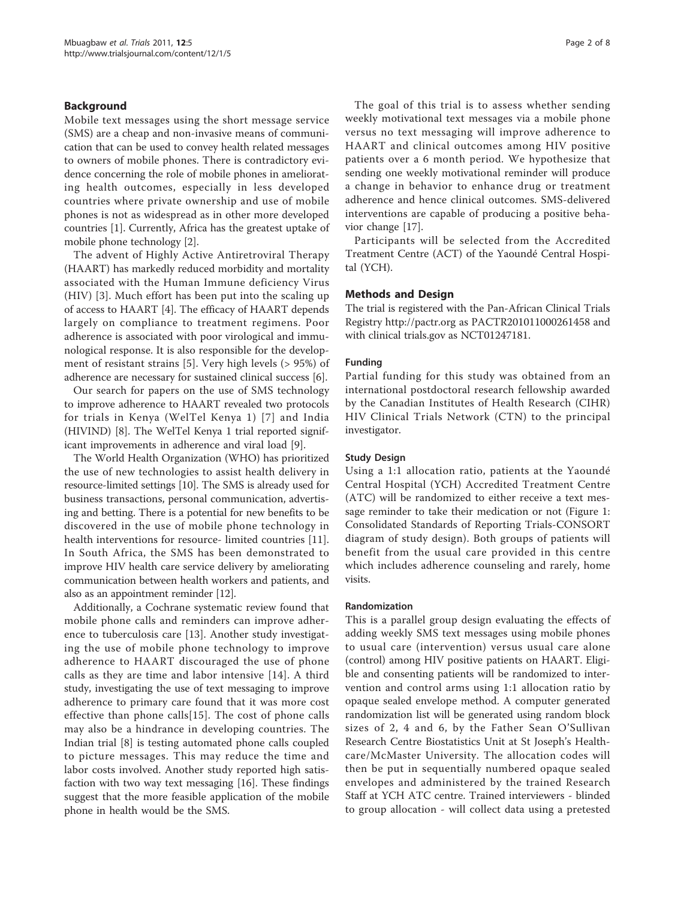# Background

Mobile text messages using the short message service (SMS) are a cheap and non-invasive means of communication that can be used to convey health related messages to owners of mobile phones. There is contradictory evidence concerning the role of mobile phones in ameliorating health outcomes, especially in less developed countries where private ownership and use of mobile phones is not as widespread as in other more developed countries [[1\]](#page-6-0). Currently, Africa has the greatest uptake of mobile phone technology [\[2](#page-6-0)].

The advent of Highly Active Antiretroviral Therapy (HAART) has markedly reduced morbidity and mortality associated with the Human Immune deficiency Virus (HIV) [[3\]](#page-6-0). Much effort has been put into the scaling up of access to HAART [[4](#page-6-0)]. The efficacy of HAART depends largely on compliance to treatment regimens. Poor adherence is associated with poor virological and immunological response. It is also responsible for the development of resistant strains [\[5\]](#page-6-0). Very high levels (> 95%) of adherence are necessary for sustained clinical success [[6\]](#page-6-0).

Our search for papers on the use of SMS technology to improve adherence to HAART revealed two protocols for trials in Kenya (WelTel Kenya 1) [[7\]](#page-6-0) and India (HIVIND) [[8\]](#page-6-0). The WelTel Kenya 1 trial reported significant improvements in adherence and viral load [[9\]](#page-6-0).

The World Health Organization (WHO) has prioritized the use of new technologies to assist health delivery in resource-limited settings [[10](#page-6-0)]. The SMS is already used for business transactions, personal communication, advertising and betting. There is a potential for new benefits to be discovered in the use of mobile phone technology in health interventions for resource- limited countries [\[11](#page-6-0)]. In South Africa, the SMS has been demonstrated to improve HIV health care service delivery by ameliorating communication between health workers and patients, and also as an appointment reminder [[12](#page-6-0)].

Additionally, a Cochrane systematic review found that mobile phone calls and reminders can improve adherence to tuberculosis care [[13\]](#page-6-0). Another study investigating the use of mobile phone technology to improve adherence to HAART discouraged the use of phone calls as they are time and labor intensive [[14](#page-6-0)]. A third study, investigating the use of text messaging to improve adherence to primary care found that it was more cost effective than phone calls[[15](#page-6-0)]. The cost of phone calls may also be a hindrance in developing countries. The Indian trial [\[8](#page-6-0)] is testing automated phone calls coupled to picture messages. This may reduce the time and labor costs involved. Another study reported high satisfaction with two way text messaging [\[16](#page-6-0)]. These findings suggest that the more feasible application of the mobile phone in health would be the SMS.

The goal of this trial is to assess whether sending weekly motivational text messages via a mobile phone versus no text messaging will improve adherence to HAART and clinical outcomes among HIV positive patients over a 6 month period. We hypothesize that sending one weekly motivational reminder will produce a change in behavior to enhance drug or treatment adherence and hence clinical outcomes. SMS-delivered interventions are capable of producing a positive behavior change [[17](#page-6-0)].

Participants will be selected from the Accredited Treatment Centre (ACT) of the Yaoundé Central Hospital (YCH).

# Methods and Design

The trial is registered with the Pan-African Clinical Trials Registry<http://pactr.org> as PACTR201011000261458 and with clinical trials.gov as NCT01247181.

# Funding

Partial funding for this study was obtained from an international postdoctoral research fellowship awarded by the Canadian Institutes of Health Research (CIHR) HIV Clinical Trials Network (CTN) to the principal investigator.

# Study Design

Using a 1:1 allocation ratio, patients at the Yaoundé Central Hospital (YCH) Accredited Treatment Centre (ATC) will be randomized to either receive a text message reminder to take their medication or not (Figure [1](#page-2-0): Consolidated Standards of Reporting Trials-CONSORT diagram of study design). Both groups of patients will benefit from the usual care provided in this centre which includes adherence counseling and rarely, home visits.

# Randomization

This is a parallel group design evaluating the effects of adding weekly SMS text messages using mobile phones to usual care (intervention) versus usual care alone (control) among HIV positive patients on HAART. Eligible and consenting patients will be randomized to intervention and control arms using 1:1 allocation ratio by opaque sealed envelope method. A computer generated randomization list will be generated using random block sizes of 2, 4 and 6, by the Father Sean O'Sullivan Research Centre Biostatistics Unit at St Joseph's Healthcare/McMaster University. The allocation codes will then be put in sequentially numbered opaque sealed envelopes and administered by the trained Research Staff at YCH ATC centre. Trained interviewers - blinded to group allocation - will collect data using a pretested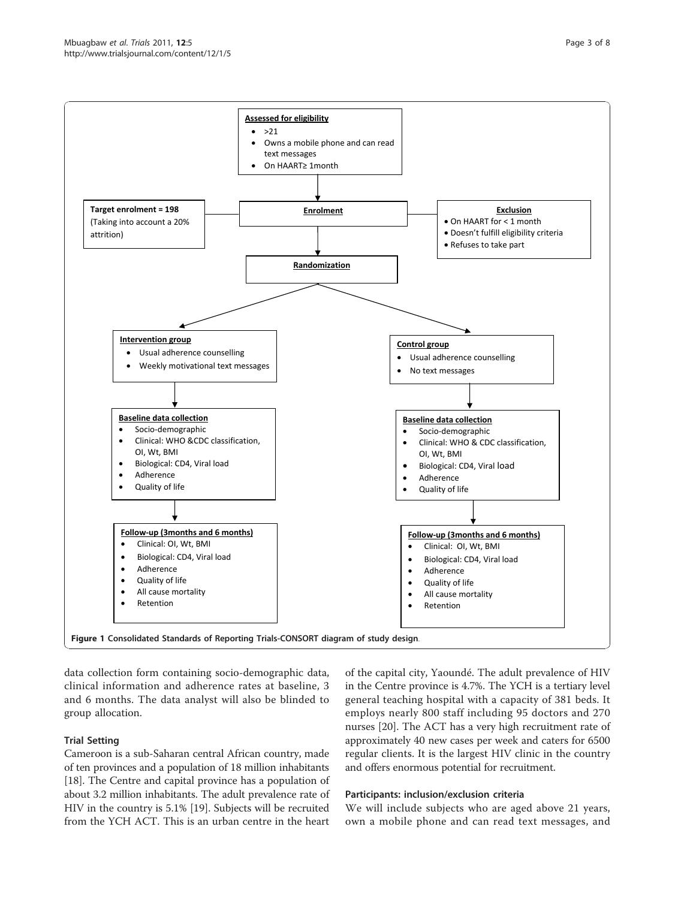<span id="page-2-0"></span>

data collection form containing socio-demographic data, clinical information and adherence rates at baseline, 3 and 6 months. The data analyst will also be blinded to group allocation.

# Trial Setting

Cameroon is a sub-Saharan central African country, made of ten provinces and a population of 18 million inhabitants [[18\]](#page-6-0). The Centre and capital province has a population of about 3.2 million inhabitants. The adult prevalence rate of HIV in the country is 5.1% [[19\]](#page-6-0). Subjects will be recruited from the YCH ACT. This is an urban centre in the heart

of the capital city, Yaoundé. The adult prevalence of HIV in the Centre province is 4.7%. The YCH is a tertiary level general teaching hospital with a capacity of 381 beds. It employs nearly 800 staff including 95 doctors and 270 nurses [\[20\]](#page-6-0). The ACT has a very high recruitment rate of approximately 40 new cases per week and caters for 6500 regular clients. It is the largest HIV clinic in the country and offers enormous potential for recruitment.

# Participants: inclusion/exclusion criteria

We will include subjects who are aged above 21 years, own a mobile phone and can read text messages, and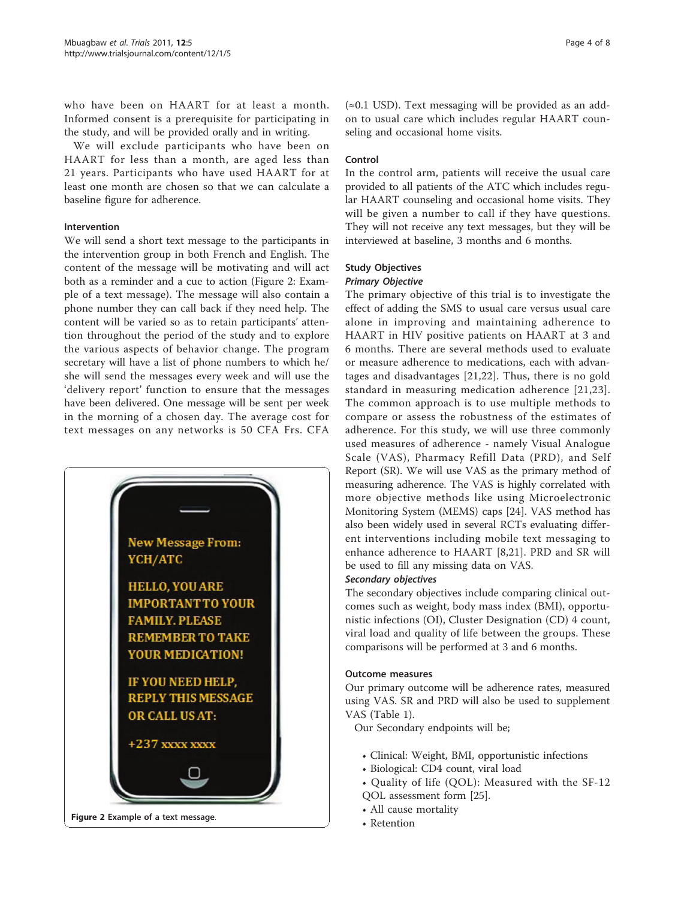who have been on HAART for at least a month. Informed consent is a prerequisite for participating in the study, and will be provided orally and in writing.

We will exclude participants who have been on HAART for less than a month, are aged less than 21 years. Participants who have used HAART for at least one month are chosen so that we can calculate a baseline figure for adherence.

# Intervention

We will send a short text message to the participants in the intervention group in both French and English. The content of the message will be motivating and will act both as a reminder and a cue to action (Figure 2: Example of a text message). The message will also contain a phone number they can call back if they need help. The content will be varied so as to retain participants' attention throughout the period of the study and to explore the various aspects of behavior change. The program secretary will have a list of phone numbers to which he/ she will send the messages every week and will use the 'delivery report' function to ensure that the messages have been delivered. One message will be sent per week in the morning of a chosen day. The average cost for text messages on any networks is 50 CFA Frs. CFA



 $(\approx 0.1 \text{ USD})$ . Text messaging will be provided as an addon to usual care which includes regular HAART counseling and occasional home visits.

# Control

In the control arm, patients will receive the usual care provided to all patients of the ATC which includes regular HAART counseling and occasional home visits. They will be given a number to call if they have questions. They will not receive any text messages, but they will be interviewed at baseline, 3 months and 6 months.

# Study Objectives

# Primary Objective

The primary objective of this trial is to investigate the effect of adding the SMS to usual care versus usual care alone in improving and maintaining adherence to HAART in HIV positive patients on HAART at 3 and 6 months. There are several methods used to evaluate or measure adherence to medications, each with advantages and disadvantages [[21,22\]](#page-6-0). Thus, there is no gold standard in measuring medication adherence [[21](#page-6-0),[23\]](#page-6-0). The common approach is to use multiple methods to compare or assess the robustness of the estimates of adherence. For this study, we will use three commonly used measures of adherence - namely Visual Analogue Scale (VAS), Pharmacy Refill Data (PRD), and Self Report (SR). We will use VAS as the primary method of measuring adherence. The VAS is highly correlated with more objective methods like using Microelectronic Monitoring System (MEMS) caps [[24\]](#page-7-0). VAS method has also been widely used in several RCTs evaluating different interventions including mobile text messaging to enhance adherence to HAART [[8,21\]](#page-6-0). PRD and SR will be used to fill any missing data on VAS.

# Secondary objectives

The secondary objectives include comparing clinical outcomes such as weight, body mass index (BMI), opportunistic infections (OI), Cluster Designation (CD) 4 count, viral load and quality of life between the groups. These comparisons will be performed at 3 and 6 months.

# Outcome measures

Our primary outcome will be adherence rates, measured using VAS. SR and PRD will also be used to supplement VAS (Table [1\)](#page-4-0).

Our Secondary endpoints will be;

- Clinical: Weight, BMI, opportunistic infections
- Biological: CD4 count, viral load
- Quality of life (QOL): Measured with the SF-12 QOL assessment form [[25\]](#page-7-0).
- All cause mortality
-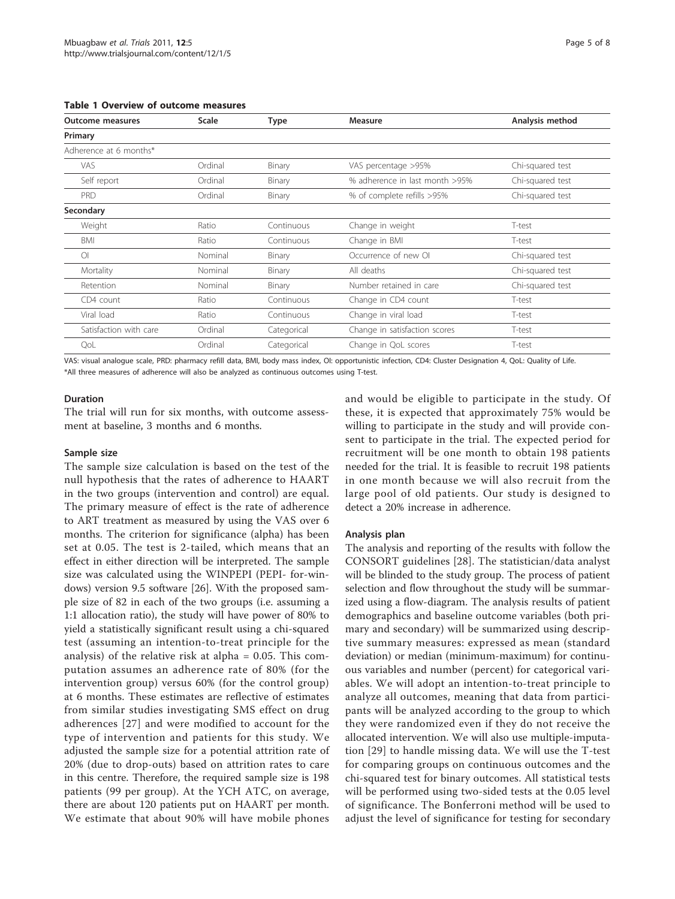| <b>Outcome measures</b> | <b>Scale</b> | Type        | <b>Measure</b>                 | Analysis method  |
|-------------------------|--------------|-------------|--------------------------------|------------------|
| Primary                 |              |             |                                |                  |
| Adherence at 6 months*  |              |             |                                |                  |
| <b>VAS</b>              | Ordinal      | Binary      | VAS percentage >95%            | Chi-squared test |
| Self report             | Ordinal      | Binary      | % adherence in last month >95% | Chi-squared test |
| <b>PRD</b>              | Ordinal      | Binary      | % of complete refills >95%     | Chi-squared test |
| Secondary               |              |             |                                |                  |
| Weight                  | Ratio        | Continuous  | Change in weight               | T-test           |
| <b>BMI</b>              | Ratio        | Continuous  | Change in BMI                  | T-test           |
| $\circ$                 | Nominal      | Binary      | Occurrence of new OI           | Chi-squared test |
| Mortality               | Nominal      | Binary      | All deaths                     | Chi-squared test |
| Retention               | Nominal      | Binary      | Number retained in care        | Chi-squared test |
| CD4 count               | Ratio        | Continuous  | Change in CD4 count            | T-test           |
| Viral load              | Ratio        | Continuous  | Change in viral load           | T-test           |
| Satisfaction with care  | Ordinal      | Categorical | Change in satisfaction scores  | T-test           |
| QoL                     | Ordinal      | Categorical | Change in QoL scores           | T-test           |

<span id="page-4-0"></span>Table 1 Overview of outcome measures

VAS: visual analogue scale, PRD: pharmacy refill data, BMI, body mass index, OI: opportunistic infection, CD4: Cluster Designation 4, QoL: Quality of Life. \*All three measures of adherence will also be analyzed as continuous outcomes using T-test.

#### Duration

The trial will run for six months, with outcome assessment at baseline, 3 months and 6 months.

#### Sample size

The sample size calculation is based on the test of the null hypothesis that the rates of adherence to HAART in the two groups (intervention and control) are equal. The primary measure of effect is the rate of adherence to ART treatment as measured by using the VAS over 6 months. The criterion for significance (alpha) has been set at 0.05. The test is 2-tailed, which means that an effect in either direction will be interpreted. The sample size was calculated using the WINPEPI (PEPI- for-windows) version 9.5 software [[26\]](#page-7-0). With the proposed sample size of 82 in each of the two groups (i.e. assuming a 1:1 allocation ratio), the study will have power of 80% to yield a statistically significant result using a chi-squared test (assuming an intention-to-treat principle for the analysis) of the relative risk at alpha = 0.05. This computation assumes an adherence rate of 80% (for the intervention group) versus 60% (for the control group) at 6 months. These estimates are reflective of estimates from similar studies investigating SMS effect on drug adherences [[27](#page-7-0)] and were modified to account for the type of intervention and patients for this study. We adjusted the sample size for a potential attrition rate of 20% (due to drop-outs) based on attrition rates to care in this centre. Therefore, the required sample size is 198 patients (99 per group). At the YCH ATC, on average, there are about 120 patients put on HAART per month. We estimate that about 90% will have mobile phones and would be eligible to participate in the study. Of these, it is expected that approximately 75% would be willing to participate in the study and will provide consent to participate in the trial. The expected period for recruitment will be one month to obtain 198 patients needed for the trial. It is feasible to recruit 198 patients in one month because we will also recruit from the large pool of old patients. Our study is designed to detect a 20% increase in adherence.

# Analysis plan

The analysis and reporting of the results with follow the CONSORT guidelines [\[28](#page-7-0)]. The statistician/data analyst will be blinded to the study group. The process of patient selection and flow throughout the study will be summarized using a flow-diagram. The analysis results of patient demographics and baseline outcome variables (both primary and secondary) will be summarized using descriptive summary measures: expressed as mean (standard deviation) or median (minimum-maximum) for continuous variables and number (percent) for categorical variables. We will adopt an intention-to-treat principle to analyze all outcomes, meaning that data from participants will be analyzed according to the group to which they were randomized even if they do not receive the allocated intervention. We will also use multiple-imputation [[29\]](#page-7-0) to handle missing data. We will use the T-test for comparing groups on continuous outcomes and the chi-squared test for binary outcomes. All statistical tests will be performed using two-sided tests at the 0.05 level of significance. The Bonferroni method will be used to adjust the level of significance for testing for secondary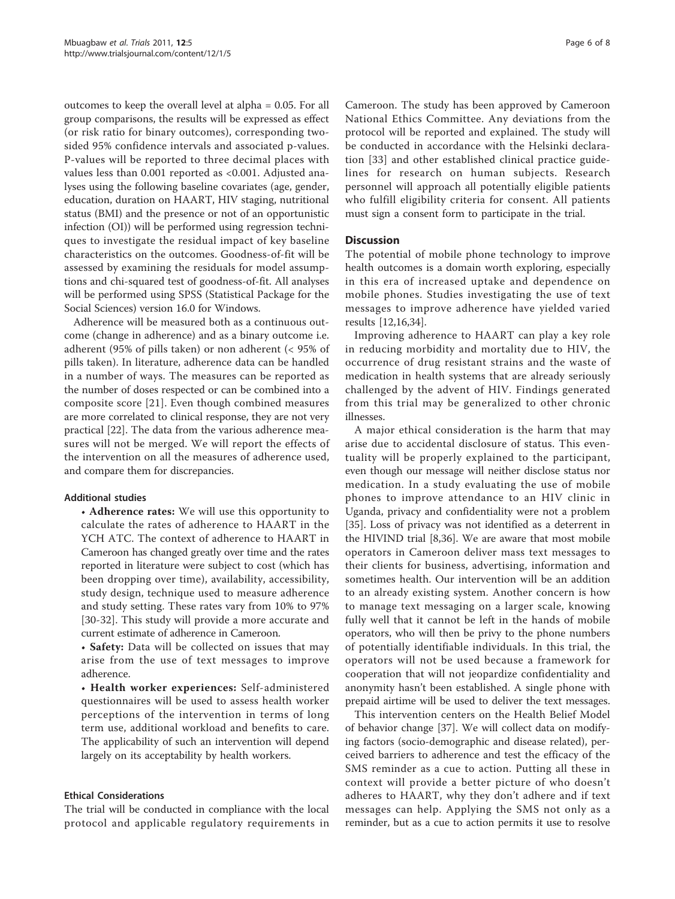outcomes to keep the overall level at alpha = 0.05. For all group comparisons, the results will be expressed as effect (or risk ratio for binary outcomes), corresponding twosided 95% confidence intervals and associated p-values. P-values will be reported to three decimal places with values less than 0.001 reported as <0.001. Adjusted analyses using the following baseline covariates (age, gender, education, duration on HAART, HIV staging, nutritional status (BMI) and the presence or not of an opportunistic infection (OI)) will be performed using regression techniques to investigate the residual impact of key baseline characteristics on the outcomes. Goodness-of-fit will be assessed by examining the residuals for model assumptions and chi-squared test of goodness-of-fit. All analyses will be performed using SPSS (Statistical Package for the Social Sciences) version 16.0 for Windows.

Adherence will be measured both as a continuous outcome (change in adherence) and as a binary outcome i.e. adherent (95% of pills taken) or non adherent (< 95% of pills taken). In literature, adherence data can be handled in a number of ways. The measures can be reported as the number of doses respected or can be combined into a composite score [[21\]](#page-6-0). Even though combined measures are more correlated to clinical response, they are not very practical [[22](#page-6-0)]. The data from the various adherence measures will not be merged. We will report the effects of the intervention on all the measures of adherence used, and compare them for discrepancies.

# Additional studies

• Adherence rates: We will use this opportunity to calculate the rates of adherence to HAART in the YCH ATC. The context of adherence to HAART in Cameroon has changed greatly over time and the rates reported in literature were subject to cost (which has been dropping over time), availability, accessibility, study design, technique used to measure adherence and study setting. These rates vary from 10% to 97% [[30-32](#page-7-0)]. This study will provide a more accurate and current estimate of adherence in Cameroon.

• Safety: Data will be collected on issues that may arise from the use of text messages to improve adherence.

• Health worker experiences: Self-administered questionnaires will be used to assess health worker perceptions of the intervention in terms of long term use, additional workload and benefits to care. The applicability of such an intervention will depend largely on its acceptability by health workers.

# Ethical Considerations

The trial will be conducted in compliance with the local protocol and applicable regulatory requirements in

Cameroon. The study has been approved by Cameroon National Ethics Committee. Any deviations from the protocol will be reported and explained. The study will be conducted in accordance with the Helsinki declaration [[33\]](#page-7-0) and other established clinical practice guidelines for research on human subjects. Research personnel will approach all potentially eligible patients who fulfill eligibility criteria for consent. All patients must sign a consent form to participate in the trial.

# **Discussion**

The potential of mobile phone technology to improve health outcomes is a domain worth exploring, especially in this era of increased uptake and dependence on mobile phones. Studies investigating the use of text messages to improve adherence have yielded varied results [[12](#page-6-0),[16](#page-6-0)[,34](#page-7-0)].

Improving adherence to HAART can play a key role in reducing morbidity and mortality due to HIV, the occurrence of drug resistant strains and the waste of medication in health systems that are already seriously challenged by the advent of HIV. Findings generated from this trial may be generalized to other chronic illnesses.

A major ethical consideration is the harm that may arise due to accidental disclosure of status. This eventuality will be properly explained to the participant, even though our message will neither disclose status nor medication. In a study evaluating the use of mobile phones to improve attendance to an HIV clinic in Uganda, privacy and confidentiality were not a problem [[35\]](#page-7-0). Loss of privacy was not identified as a deterrent in the HIVIND trial [\[8](#page-6-0)[,36](#page-7-0)]. We are aware that most mobile operators in Cameroon deliver mass text messages to their clients for business, advertising, information and sometimes health. Our intervention will be an addition to an already existing system. Another concern is how to manage text messaging on a larger scale, knowing fully well that it cannot be left in the hands of mobile operators, who will then be privy to the phone numbers of potentially identifiable individuals. In this trial, the operators will not be used because a framework for cooperation that will not jeopardize confidentiality and anonymity hasn't been established. A single phone with prepaid airtime will be used to deliver the text messages.

This intervention centers on the Health Belief Model of behavior change [\[37\]](#page-7-0). We will collect data on modifying factors (socio-demographic and disease related), perceived barriers to adherence and test the efficacy of the SMS reminder as a cue to action. Putting all these in context will provide a better picture of who doesn't adheres to HAART, why they don't adhere and if text messages can help. Applying the SMS not only as a reminder, but as a cue to action permits it use to resolve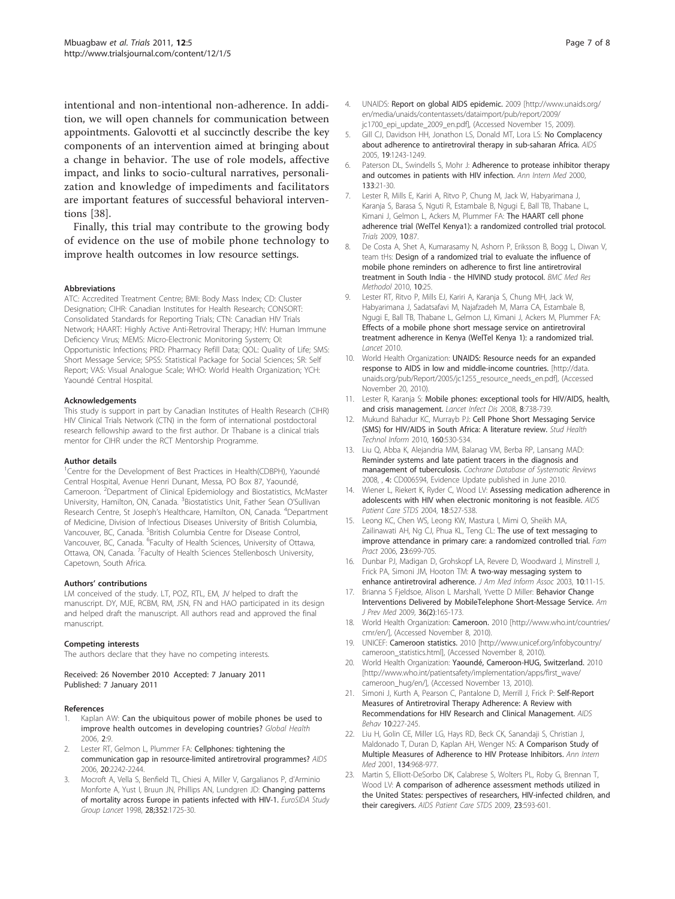<span id="page-6-0"></span>intentional and non-intentional non-adherence. In addition, we will open channels for communication between appointments. Galovotti et al succinctly describe the key components of an intervention aimed at bringing about a change in behavior. The use of role models, affective impact, and links to socio-cultural narratives, personalization and knowledge of impediments and facilitators are important features of successful behavioral interventions [\[38\]](#page-7-0).

Finally, this trial may contribute to the growing body of evidence on the use of mobile phone technology to improve health outcomes in low resource settings.

#### Abbreviations

ATC: Accredited Treatment Centre; BMI: Body Mass Index; CD: Cluster Designation; CIHR: Canadian Institutes for Health Research; CONSORT: Consolidated Standards for Reporting Trials; CTN: Canadian HIV Trials Network; HAART: Highly Active Anti-Retroviral Therapy; HIV: Human Immune Deficiency Virus; MEMS: Micro-Electronic Monitoring System; OI: Opportunistic Infections; PRD: Pharmacy Refill Data; QOL: Quality of Life; SMS: Short Message Service; SPSS: Statistical Package for Social Sciences; SR: Self Report; VAS: Visual Analogue Scale; WHO: World Health Organization; YCH: Yaoundé Central Hospital.

#### Acknowledgements

This study is support in part by Canadian Institutes of Health Research (CIHR) HIV Clinical Trials Network (CTN) in the form of international postdoctoral research fellowship award to the first author. Dr Thabane is a clinical trials mentor for CIHR under the RCT Mentorship Programme.

#### Author details

<sup>1</sup>Centre for the Development of Best Practices in Health(CDBPH), Yaoundé Central Hospital, Avenue Henri Dunant, Messa, PO Box 87, Yaoundé, Cameroon. <sup>2</sup>Department of Clinical Epidemiology and Biostatistics, McMaster University, Hamilton, ON, Canada. <sup>3</sup>Biostatistics Unit, Father Sean O'Sullivan Research Centre, St Joseph's Healthcare, Hamilton, ON, Canada. <sup>4</sup>Department of Medicine, Division of Infectious Diseases University of British Columbia, Vancouver, BC, Canada. <sup>5</sup>British Columbia Centre for Disease Control, Vancouver, BC, Canada. <sup>6</sup>Faculty of Health Sciences, University of Ottawa, Ottawa, ON, Canada. <sup>7</sup>Faculty of Health Sciences Stellenbosch University, Capetown, South Africa.

#### Authors' contributions

LM conceived of the study. LT, POZ, RTL, EM, JV helped to draft the manuscript. DY, MJE, RCBM, RM, JSN, FN and HAO participated in its design and helped draft the manuscript. All authors read and approved the final manuscript.

#### Competing interests

The authors declare that they have no competing interests.

Received: 26 November 2010 Accepted: 7 January 2011 Published: 7 January 2011

#### References

- Kaplan AW: [Can the ubiquitous power of mobile phones be used to](http://www.ncbi.nlm.nih.gov/pubmed/16719925?dopt=Abstract) [improve health outcomes in developing countries?](http://www.ncbi.nlm.nih.gov/pubmed/16719925?dopt=Abstract) Global Health 2006, 2:9.
- Lester RT, Gelmon L, Plummer FA: [Cellphones: tightening the](http://www.ncbi.nlm.nih.gov/pubmed/17086071?dopt=Abstract) [communication gap in resource-limited antiretroviral programmes?](http://www.ncbi.nlm.nih.gov/pubmed/17086071?dopt=Abstract) AIDS 2006, 20:2242-2244.
- 3. Mocroft A, Vella S, Benfield TL, Chiesi A, Miller V, Gargalianos P, d'Arminio Monforte A, Yust I, Bruun JN, Phillips AN, Lundgren JD: Changing patterns of mortality across Europe in patients infected with HIV-1. EuroSIDA Study Group Lancet 1998, 28;352:1725-30.
- 4. UNAIDS: Report on global AIDS epidemic. 2009 [[http://www.unaids.org/](http://www.unaids.org/en/media/unaids/contentassets/dataimport/pub/report/2009/jc1700_epi_update_2009_en.pdf) [en/media/unaids/contentassets/dataimport/pub/report/2009/](http://www.unaids.org/en/media/unaids/contentassets/dataimport/pub/report/2009/jc1700_epi_update_2009_en.pdf) [jc1700\\_epi\\_update\\_2009\\_en.pdf](http://www.unaids.org/en/media/unaids/contentassets/dataimport/pub/report/2009/jc1700_epi_update_2009_en.pdf)], (Accessed November 15, 2009).
- 5. Gill CJ, Davidson HH, Jonathon LS, Donald MT, Lora LS: [No Complacency](http://www.ncbi.nlm.nih.gov/pubmed/16052078?dopt=Abstract) [about adherence to antiretroviral therapy in sub-saharan Africa.](http://www.ncbi.nlm.nih.gov/pubmed/16052078?dopt=Abstract) AIDS 2005, 19:1243-1249.
- 6. Paterson DL, Swindells S, Mohr J: [Adherence to protease inhibitor therapy](http://www.ncbi.nlm.nih.gov/pubmed/10877736?dopt=Abstract) [and outcomes in patients with HIV infection.](http://www.ncbi.nlm.nih.gov/pubmed/10877736?dopt=Abstract) Ann Intern Med 2000, 133:21-30.
- 7. Lester R, Mills E, Kariri A, Ritvo P, Chung M, Jack W, Habyarimana J, Karanja S, Barasa S, Nguti R, Estambale B, Ngugi E, Ball TB, Thabane L, Kimani J, Gelmon L, Ackers M, Plummer FA: [The HAART cell phone](http://www.ncbi.nlm.nih.gov/pubmed/19772596?dopt=Abstract) [adherence trial \(WelTel Kenya1\): a randomized controlled trial protocol.](http://www.ncbi.nlm.nih.gov/pubmed/19772596?dopt=Abstract) Trials 2009, 10:87.
- 8. De Costa A, Shet A, Kumarasamy N, Ashorn P, Eriksson B, Bogg L, Diwan V, team tHs: [Design of a randomized trial to evaluate the influence of](http://www.ncbi.nlm.nih.gov/pubmed/20346136?dopt=Abstract) [mobile phone reminders on adherence to first line antiretroviral](http://www.ncbi.nlm.nih.gov/pubmed/20346136?dopt=Abstract) [treatment in South India - the HIVIND study protocol.](http://www.ncbi.nlm.nih.gov/pubmed/20346136?dopt=Abstract) BMC Med Res Methodol 2010, 10:25.
- 9. Lester RT, Ritvo P, Mills EJ, Kariri A, Karanja S, Chung MH, Jack W, Habyarimana J, Sadatsafavi M, Najafzadeh M, Marra CA, Estambale B, Ngugi E, Ball TB, Thabane L, Gelmon LJ, Kimani J, Ackers M, Plummer FA: [Effects of a mobile phone short message service on antiretroviral](http://www.ncbi.nlm.nih.gov/pubmed/21071074?dopt=Abstract) [treatment adherence in Kenya \(WelTel Kenya 1\): a randomized trial.](http://www.ncbi.nlm.nih.gov/pubmed/21071074?dopt=Abstract) Lancet 2010.
- 10. World Health Organization: UNAIDS: Resource needs for an expanded response to AIDS in low and middle-income countries. [\[http://data.](http://data.unaids.org/pub/Report/2005/jc1255_resource_needs_en.pdf) [unaids.org/pub/Report/2005/jc1255\\_resource\\_needs\\_en.pdf](http://data.unaids.org/pub/Report/2005/jc1255_resource_needs_en.pdf)], (Accessed November 20, 2010).
- 11. Lester R, Karanja S: [Mobile phones: exceptional tools for HIV/AIDS, health,](http://www.ncbi.nlm.nih.gov/pubmed/19022188?dopt=Abstract) [and crisis management.](http://www.ncbi.nlm.nih.gov/pubmed/19022188?dopt=Abstract) Lancet Infect Dis 2008, 8:738-739.
- 12. Mukund Bahadur KC, Murrayb PJ: [Cell Phone Short Messaging Service](http://www.ncbi.nlm.nih.gov/pubmed/20841743?dopt=Abstract) [\(SMS\) for HIV/AIDS in South Africa: A literature review.](http://www.ncbi.nlm.nih.gov/pubmed/20841743?dopt=Abstract) Stud Health Technol Inform 2010, 160:530-534.
- 13. Liu Q, Abba K, Alejandria MM, Balanag VM, Berba RP, Lansang MAD: Reminder systems and late patient tracers in the diagnosis and management of tuberculosis. Cochrane Database of Systematic Reviews 2008, , 4: CD006594, Evidence Update published in June 2010.
- 14. Wiener L, Riekert K, Ryder C, Wood LV: [Assessing medication adherence in](http://www.ncbi.nlm.nih.gov/pubmed/15630773?dopt=Abstract) [adolescents with HIV when electronic monitoring is not feasible.](http://www.ncbi.nlm.nih.gov/pubmed/15630773?dopt=Abstract) AIDS Patient Care STDS 2004, 18:527-538.
- 15. Leong KC, Chen WS, Leong KW, Mastura I, Mimi O, Sheikh MA, Zailinawati AH, Ng CJ, Phua KL, Teng CL: [The use of text messaging to](http://www.ncbi.nlm.nih.gov/pubmed/16916871?dopt=Abstract) improve [attendance in primary care: a randomized controlled trial.](http://www.ncbi.nlm.nih.gov/pubmed/16916871?dopt=Abstract) Fam Pract 2006, 23:699-705.
- 16. Dunbar PJ, Madigan D, Grohskopf LA, Revere D, Woodward J, Minstrell J, Frick PA, Simoni JM, Hooton TM: [A two-way messaging system to](http://www.ncbi.nlm.nih.gov/pubmed/12509353?dopt=Abstract) [enhance antiretroviral adherence.](http://www.ncbi.nlm.nih.gov/pubmed/12509353?dopt=Abstract) J Am Med Inform Assoc 2003, 10:11-15.
- 17. Brianna S Fjeldsoe, Alison L Marshall, Yvette D Miller: [Behavior Change](http://www.ncbi.nlm.nih.gov/pubmed/19135907?dopt=Abstract) [Interventions Delivered by MobileTelephone Short-Message Service.](http://www.ncbi.nlm.nih.gov/pubmed/19135907?dopt=Abstract) Am J Prev Med 2009, 36(2):165-173.
- 18. World Health Organization: Cameroon. 2010 [[http://www.who.int/countries/](http://www.who.int/countries/cmr/en/) [cmr/en/\]](http://www.who.int/countries/cmr/en/), (Accessed November 8, 2010).
- 19. UNICEF: Cameroon statistics. 2010 [\[http://www.unicef.org/infobycountry/](http://www.unicef.org/infobycountry/cameroon_statistics.html) [cameroon\\_statistics.html\]](http://www.unicef.org/infobycountry/cameroon_statistics.html), (Accessed November 8, 2010).
- 20. World Health Organization: Yaoundé, Cameroon-HUG, Switzerland. 2010 [[http://www.who.int/patientsafety/implementation/apps/first\\_wave/](http://www.who.int/patientsafety/implementation/apps/first_wave/cameroon_hug/en/) [cameroon\\_hug/en/](http://www.who.int/patientsafety/implementation/apps/first_wave/cameroon_hug/en/)], (Accessed November 13, 2010).
- 21. Simoni J, Kurth A, Pearson C, Pantalone D, Merrill J, Frick P: [Self-Report](http://www.ncbi.nlm.nih.gov/pubmed/16783535?dopt=Abstract) [Measures of Antiretroviral Therapy Adherence: A Review with](http://www.ncbi.nlm.nih.gov/pubmed/16783535?dopt=Abstract) [Recommendations for HIV Research and Clinical Management.](http://www.ncbi.nlm.nih.gov/pubmed/16783535?dopt=Abstract) AIDS Behav 10:227-245.
- 22. Liu H, Golin CE, Miller LG, Hays RD, Beck CK, Sanandaji S, Christian J, Maldonado T, Duran D, Kaplan AH, Wenger NS: [A Comparison Study of](http://www.ncbi.nlm.nih.gov/pubmed/11352698?dopt=Abstract) [Multiple Measures of Adherence to HIV Protease Inhibitors.](http://www.ncbi.nlm.nih.gov/pubmed/11352698?dopt=Abstract) Ann Intern Med 2001, 134:968-977.
- 23. Martin S, Elliott-DeSorbo DK, Calabrese S, Wolters PL, Roby G, Brennan T, Wood LV: [A comparison of adherence assessment methods utilized in](http://www.ncbi.nlm.nih.gov/pubmed/19591601?dopt=Abstract) [the United States: perspectives of researchers, HIV-infected children, and](http://www.ncbi.nlm.nih.gov/pubmed/19591601?dopt=Abstract) [their caregivers.](http://www.ncbi.nlm.nih.gov/pubmed/19591601?dopt=Abstract) AIDS Patient Care STDS 2009, 23:593-601.